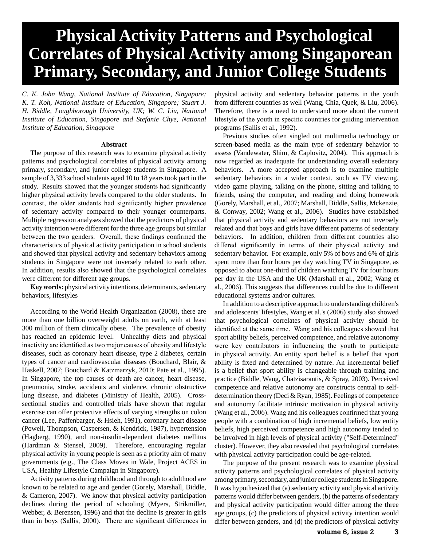# **Physical Activity Patterns and Psychological Correlates of Physical Activity among Singaporean Primary, Secondary, and Junior College Students**

*C. K. John Wang, National Institute of Education, Singapore; K. T. Koh, National Institute of Education, Singapore; Stuart J. H. Biddle, Loughborough University, UK; W. C. Liu, National Institute of Education, Singapore and Stefanie Chye, National Institute of Education, Singapore*

#### **Abstract**

The purpose of this research was to examine physical activity patterns and psychological correlates of physical activity among primary, secondary, and junior college students in Singapore. A sample of 3,333 school students aged 10 to 18 years took part in the study. Results showed that the younger students had significantly higher physical activity levels compared to the older students. In contrast, the older students had significantly higher prevalence of sedentary activity compared to their younger counterparts. Multiple regression analyses showed that the predictors of physical activity intention were different for the three age groups but similar between the two genders. Overall, these findings confirmed the characteristics of physical activity participation in school students and showed that physical activity and sedentary behaviors among students in Singapore were not inversely related to each other. In addition, results also showed that the psychological correlates were different for different age groups.

**Key words:** physical activity intentions, determinants, sedentary behaviors, lifestyles

According to the World Health Organization (2008), there are more than one billion overweight adults on earth, with at least 300 million of them clinically obese. The prevalence of obesity has reached an epidemic level. Unhealthy diets and physical inactivity are identified as two major causes of obesity and lifestyle diseases, such as coronary heart disease, type 2 diabetes, certain types of cancer and cardiovascular diseases (Bouchard, Blair, & Haskell, 2007; Bouchard & Katzmarzyk, 2010; Pate et al., 1995). In Singapore, the top causes of death are cancer, heart disease, pneumonia, stroke, accidents and violence, chronic obstructive lung disease, and diabetes (Ministry of Health, 2005). Crosssectional studies and controlled trials have shown that regular exercise can offer protective effects of varying strengths on colon cancer (Lee, Paffenbarger, & Hsieh, 1991), coronary heart disease (Powell, Thompson, Caspersen, & Kendrick, 1987), hypertension (Hagberg, 1990), and non-insulin-dependent diabetes mellitus (Hardman & Stensel, 2009). Therefore, encouraging regular physical activity in young people is seen as a priority aim of many governments (e.g., The Class Moves in Wale, Project ACES in USA, Healthy Lifestyle Campaign in Singapore).

Activity patterns during childhood and through to adulthood are known to be related to age and gender (Gorely, Marshall, Biddle, & Cameron, 2007). We know that physical activity participation declines during the period of schooling (Myers, Strikmiller, Webber, & Berensen, 1996) and that the decline is greater in girls than in boys (Sallis, 2000). There are significant differences in

physical activity and sedentary behavior patterns in the youth from different countries as well (Wang, Chia, Quek, & Liu, 2006). Therefore, there is a need to understand more about the current lifestyle of the youth in specific countries for guiding intervention programs (Sallis et al., 1992).

Previous studies often singled out multimedia technology or screen-based media as the main type of sedentary behavior to assess (Vandewater, Shim, & Caplovitz, 2004). This approach is now regarded as inadequate for understanding overall sedentary behaviors. A more accepted approach is to examine multiple sedentary behaviors in a wider context, such as TV viewing, video game playing, talking on the phone, sitting and talking to friends, using the computer, and reading and doing homework (Gorely, Marshall, et al., 2007; Marshall, Biddle, Sallis, Mckenzie, & Conway, 2002; Wang et al., 2006). Studies have established that physical activity and sedentary behaviors are not inversely related and that boys and girls have different patterns of sedentary behaviors. In addition, children from different countries also differed significantly in terms of their physical activity and sedentary behavior. For example, only 5% of boys and 6% of girls spent more than four hours per day watching TV in Singapore, as opposed to about one-third of children watching TV for four hours per day in the USA and the UK (Marshall et al., 2002; Wang et al., 2006). This suggests that differences could be due to different educational systems and/or cultures.

In addition to a descriptive approach to understanding children's and adolescents' lifestyles, Wang et al.'s (2006) study also showed that psychological correlates of physical activity should be identified at the same time. Wang and his colleagues showed that sport ability beliefs, perceived competence, and relative autonomy were key contributors in influencing the youth to participate in physical activity. An entity sport belief is a belief that sport ability is fixed and determined by nature. An incremental belief is a belief that sport ability is changeable through training and practice (Biddle, Wang, Chatzisarantis, & Spray, 2003). Perceived competence and relative autonomy are constructs central to selfdetermination theory (Deci & Ryan, 1985). Feelings of competence and autonomy facilitate intrinsic motivation in physical activity (Wang et al., 2006). Wang and his colleagues confirmed that young people with a combination of high incremental beliefs, low entity beliefs, high perceived competence and high autonomy tended to be involved in high levels of physical activity ("Self-Determined" cluster). However, they also revealed that psychological correlates with physical activity participation could be age-related.

The purpose of the present research was to examine physical activity patterns and psychological correlates of physical activity among primary, secondary, and junior college students in Singapore. It was hypothesized that (a) sedentary activity and physical activity patterns would differ between genders, (b) the patterns of sedentary and physical activity participation would differ among the three age groups, (c) the predictors of physical activity intention would differ between genders, and (d) the predictors of physical activity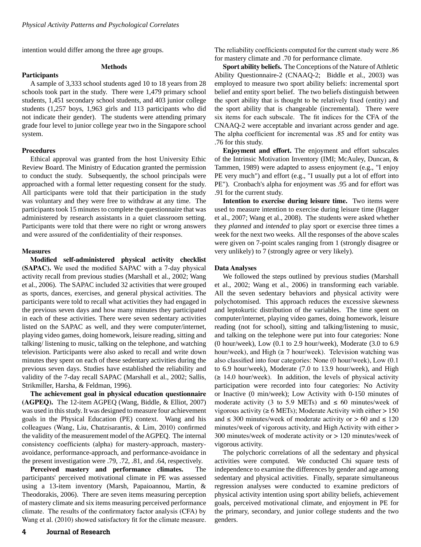intention would differ among the three age groups.

# **Methods**

A sample of 3,333 school students aged 10 to 18 years from 28 schools took part in the study. There were 1,479 primary school students, 1,451 secondary school students, and 403 junior college students (1,257 boys, 1,963 girls and 113 participants who did not indicate their gender). The students were attending primary grade four level to junior college year two in the Singapore school system.

## **Procedures**

**Participants** 

Ethical approval was granted from the host University Ethic Review Board. The Ministry of Education granted the permission to conduct the study. Subsequently, the school principals were approached with a formal letter requesting consent for the study. All participants were told that their participation in the study was voluntary and they were free to withdraw at any time. The participants took 15 minutes to complete the questionnaire that was administered by research assistants in a quiet classroom setting. Participants were told that there were no right or wrong answers and were assured of the confidentiality of their responses.

#### **Measures**

**Modified self-administered physical activity checklist (SAPAC).** We used the modified SAPAC with a 7-day physical activity recall from previous studies (Marshall et al., 2002; Wang et al., 2006). The SAPAC included 32 activities that were grouped as sports, dances, exercises, and general physical activities. The participants were told to recall what activities they had engaged in the previous seven days and how many minutes they participated in each of these activities. There were seven sedentary activities listed on the SAPAC as well, and they were computer/internet, playing video games, doing homework, leisure reading, sitting and talking/ listening to music, talking on the telephone, and watching television. Participants were also asked to recall and write down minutes they spent on each of these sedentary activities during the previous seven days. Studies have established the reliability and validity of the 7-day recall SAPAC (Marshall et al., 2002; Sallis, Strikmiller, Harsha, & Feldman, 1996).

**The achievement goal in physical education questionnaire (AGPEQ).** The 12-item AGPEQ (Wang, Biddle, & Elliot, 2007) was used in this study. It was designed to measure four achievement goals in the Physical Education (PE) context. Wang and his colleagues (Wang, Liu, Chatzisarantis, & Lim, 2010) confirmed the validity of the measurement model of the AGPEQ. The internal consistency coefficients (alpha) for mastery-approach, masteryavoidance, performance-approach, and performance-avoidance in the present investigation were .79, .72, .81, and .64, respectively.

**Perceived mastery and performance climates.** The participants' perceived motivational climate in PE was assessed using a 13-item inventory (Marsh, Papaioannou, Martin, & Theodorakis, 2006). There are seven items measuring perception of mastery climate and six items measuring perceived performance climate. The results of the confirmatory factor analysis (CFA) by Wang et al. (2010) showed satisfactory fit for the climate measure. The reliability coefficients computed for the current study were .86 for mastery climate and .70 for performance climate.

**Sport ability beliefs.** The Conceptions of the Nature of Athletic Ability Questionnaire-2 (CNAAQ-2; Biddle et al., 2003) was employed to measure two sport ability beliefs: incremental sport belief and entity sport belief. The two beliefs distinguish between the sport ability that is thought to be relatively fixed (entity) and the sport ability that is changeable (incremental). There were six items for each subscale. The fit indices for the CFA of the CNAAQ-2 were acceptable and invariant across gender and age. The alpha coefficient for incremental was .85 and for entity was .76 for this study.

**Enjoyment and effort.** The enjoyment and effort subscales of the Intrinsic Motivation Inventory (IMI; McAuley, Duncan, & Tammen, 1989) were adapted to assess enjoyment (e.g., "I enjoy PE very much") and effort (e.g., "I usually put a lot of effort into PE"). Cronbach's alpha for enjoyment was .95 and for effort was .91 for the current study.

**Intention to exercise during leisure time.** Two items were used to measure intention to exercise during leisure time (Hagger et al., 2007; Wang et al., 2008). The students were asked whether they *planned* and *intended* to play sport or exercise three times a week for the next two weeks. All the responses of the above scales were given on 7-point scales ranging from 1 (strongly disagree or very unlikely) to 7 (strongly agree or very likely).

#### **Data Analyses**

We followed the steps outlined by previous studies (Marshall et al., 2002; Wang et al., 2006) in transforming each variable. All the seven sedentary behaviors and physical activity were polychotomised. This approach reduces the excessive skewness and leptokurtic distribution of the variables. The time spent on computer/internet, playing video games, doing homework, leisure reading (not for school), sitting and talking/listening to music, and talking on the telephone were put into four categories: None (0 hour/week), Low (0.1 to 2.9 hour/week), Moderate (3.0 to 6.9 hour/week), and High  $(\geq 7$  hour/week). Television watching was also classified into four categories: None (0 hour/week), Low (0.1 to 6.9 hour/week), Moderate (7.0 to 13.9 hour/week), and High  $(\geq 14.0 \text{ hour/week})$ . In addition, the levels of physical activity participation were recorded into four categories: No Activity or Inactive (0 min/week); Low Activity with 0-150 minutes of moderate activity (3 to 5.9 METs) and  $\leq$  60 minutes/week of vigorous activity ( $\geq 6$  METs); Moderate Activity with either  $> 150$ and  $\leq$  300 minutes/week of moderate activity or  $> 60$  and  $\leq$  120 minutes/week of vigorous activity, and High Activity with either > 300 minutes/week of moderate activity or > 120 minutes/week of vigorous activity.

The polychoric correlations of all the sedentary and physical activities were computed. We conducted Chi square tests of independence to examine the differences by gender and age among sedentary and physical activities. Finally, separate simultaneous regression analyses were conducted to examine predictors of physical activity intention using sport ability beliefs, achievement goals, perceived motivational climate, and enjoyment in PE for the primary, secondary, and junior college students and the two genders.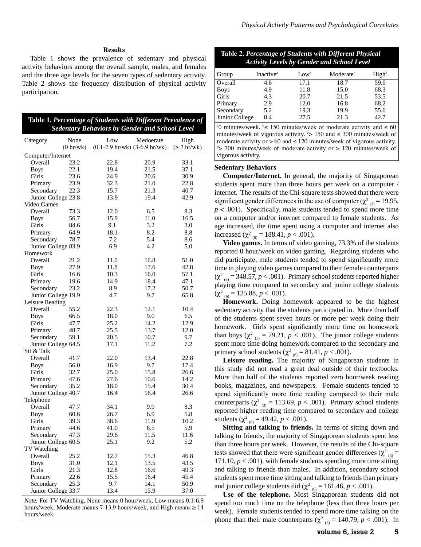## **Results**

Table 1 shows the prevalence of sedentary and physical activity behaviors among the overall sample, males, and females and the three age levels for the seven types of sedentary activity. Table 2 shows the frequency distribution of physical activity participation.

|                 |      |     | Table 1. Percentage of Students with Different Prevalence of<br><b>Sedentary Behaviors by Gender and School Level</b> |      |
|-----------------|------|-----|-----------------------------------------------------------------------------------------------------------------------|------|
| <b>Category</b> | None | Low | Medoerate                                                                                                             | High |

| $\alpha$ ucgoi y                                                 | 11011     | <b>LUW</b> | wwww.au                                           | படதப             |
|------------------------------------------------------------------|-----------|------------|---------------------------------------------------|------------------|
|                                                                  | (0 hr/wk) |            | $(0.1-2.9 \text{ hr/wk})$ $(3-6.9 \text{ hr/wk})$ | $(\geq 7$ hr/wk) |
| Computer/Internet                                                |           |            |                                                   |                  |
| Overall                                                          | 23.2      | 22.8       | 20.9                                              | 33.1             |
| <b>Boys</b>                                                      | 22.1      | 19.4       | 21.5                                              | 37.1             |
| Girls                                                            | 23.6      | 24.9       | 20.6                                              | 30.9             |
| Primary                                                          | 23.9      | 32.3       | 21.0                                              | 22.8             |
| Secondary                                                        | 22.3      | 15.7       | 21.3                                              | 40.7             |
| Junior College 23.8                                              |           | 13.9       | 19.4                                              | 42.9             |
| Video Games                                                      |           |            |                                                   |                  |
| Overall                                                          | 73.3      | 12.0       | 6.5                                               | 8.3              |
|                                                                  | 56.7      | 15.9       | 11.0                                              | 16.5             |
| <b>Boys</b><br>Girls                                             | 84.6      | 9.1        | 3.2                                               | 3.0              |
|                                                                  |           |            |                                                   |                  |
| Primary                                                          | 64.9      | 18.1       | 8.2                                               | 8.8              |
| Secondary                                                        | 78.7      | 7.2        | 5.4                                               | 8.6              |
| Junior College 83.9                                              |           | 6.9        | 4.2                                               | 5.0              |
| Homework                                                         |           |            |                                                   |                  |
| Overall                                                          | 21.2      | 11.0       | 16.8                                              | 51.0             |
| <b>Boys</b>                                                      | 27.9      | 11.8       | 17.6                                              | 42.8             |
| Girls                                                            | 16.6      | 10.3       | 16.0                                              | 57.1             |
| Primary                                                          | 19.6      | 14.9       | 18.4                                              | 47.1             |
| Secondary                                                        | 23.2      | 8.9        | 17.2                                              | 50.7             |
| Junior College 19.9                                              |           | 4.7        | 9.7                                               | 65.8             |
| Leisure Reading                                                  |           |            |                                                   |                  |
| Overall                                                          | 55.2      | 22.3       | 12.1                                              | 10.4             |
| <b>Boys</b>                                                      | 66.5      | 18.0       | 9.0                                               | 6.5              |
| Girls                                                            | 47.7      | 25.2       | 14.2                                              | 12.9             |
| Primary                                                          | 48.7      | 25.5       | 13.7                                              | 12.0             |
| Secondary                                                        | 59.1      | 20.5       | 10.7                                              | 9.7              |
| Junior College 64.5                                              |           | 17.1       | 11.2                                              | 7.2              |
| Sit & Talk                                                       |           |            |                                                   |                  |
| Overall                                                          | 41.7      | 22.0       | 13.4                                              | 22.8             |
| <b>Boys</b>                                                      | 56.0      | 16.9       | 9.7                                               | 17.4             |
| Girls                                                            | 32.7      | 25.0       | 15.8                                              | 26.6             |
|                                                                  | 47.6      | 27.6       | 10.6                                              | 14.2             |
| Primary                                                          |           |            |                                                   |                  |
| Secondary                                                        | 35.2      | 18.0       | 15.4                                              | 30.4             |
| Junior College 40.7                                              |           | 16.4       | 16.4                                              | 26.6             |
| Telephone                                                        |           |            |                                                   |                  |
| Overall                                                          | 47.7      | 34.1       | 9.9                                               | 8.3              |
| <b>Boys</b>                                                      | 60.6      | 26.7       | 6.9                                               | 5.8              |
| Girls                                                            | 39.3      | 38.6       | 11.9                                              | 10.2             |
| Primary                                                          | 44.6      | 41.0       | 8.5                                               | 5.9              |
| Secondary                                                        | 47.3      | 29.6       | 11.5                                              | 11.6             |
| Junior College 60.5                                              |           | 25.1       | 9.2                                               | 5.2              |
| TV Watching                                                      |           |            |                                                   |                  |
| Overall                                                          | 25.2      | 12.7       | 15.3                                              | 46.8             |
| <b>Boys</b>                                                      | 31.0      | 12.1       | 13.5                                              | 43.5             |
| Girls                                                            | 21.3      | 12.8       | 16.6                                              | 49.3             |
| Primary                                                          | 22.6      | 15.5       | 16.4                                              | 45.4             |
| Secondary                                                        | 25.3      | 9.7        | 14.1                                              | 50.9             |
| Junior College 33.7                                              |           | 13.4       | 15.9                                              | 37.0             |
|                                                                  |           |            |                                                   |                  |
| Note. For TV Watching, None means 0 hour/week, Low means 0.1-6.9 |           |            |                                                   |                  |

hours/week, Moderate means 7-13.9 hours/week, and High means  $\geq 14$ hours/week.

## **Table 2.** *Percentage of Students with Different Physical Activity Levels by Gender and School Level*

| Group          | Inactive <sup>a</sup> | $Low^b$ | Moderate <sup>c</sup> | High <sup>d</sup> |
|----------------|-----------------------|---------|-----------------------|-------------------|
| Overall        | 4.6                   | 17.1    | 18.7                  | 59.6              |
| <b>Boys</b>    | 4.9                   | 11.8    | 15.0                  | 68.3              |
| Girls          | 4.3                   | 20.7    | 21.5                  | 53.5              |
| Primary        | 2.9                   | 12.0    | 16.8                  | 68.2              |
| Secondary      | 5.2                   | 19.3    | 19.9                  | 55.6              |
| Junior College | 8.4                   | 27.5    | 21.3                  | 42.7              |

<sup>a</sup>0 minutes/week. <sup>b</sup> \ 150 minutes/week of moderate activity and  $\leq 60$ minutes/week of vigorous activity.  $\degree$  > 150 and  $\leq$  300 minutes/week of moderate activity or  $> 60$  and  $\leq 120$  minutes/week of vigorous activity. d > 300 minutes/week of moderate activity or > 120 minutes/week of vigorous activity.

## **Sedentary Behaviors**

**Computer/Internet.** In general, the majority of Singaporean students spent more than three hours per week on a computer / internet. The results of the Chi-square tests showed that there were significant gender differences in the use of computer ( $\chi^2_{(3)}$  = 19.95,  $p < .001$ ). Specifically, male students tended to spend more time on a computer and/or internet compared to female students. As age increased, the time spent using a computer and internet also increased ( $\chi^2$ <sub>(6)</sub> = 188.41, *p* < .001).

**Video games.** In terms of video gaming, 73.3% of the students reported 0 hour/week on video gaming. Regarding students who did participate, male students tended to spend significantly more time in playing video games compared to their female counterparts  $(\chi^2_{(3)} = 348.57, p < .001)$ . Primary school students reported higher playing time compared to secondary and junior college students  $(\chi^2_{(6)} = 125.88, p < .001).$ 

**Homework.** Doing homework appeared to be the highest sedentary activity that the students participated in. More than half of the students spent seven hours or more per week doing their homework. Girls spent significantly more time on homework than boys ( $\chi^2$ <sub>(3)</sub> = 79.21, *p* < .001). The junior college students spent more time doing homework compared to the secondary and primary school students ( $\chi^2$ <sub>(6)</sub> = 81.41, *p* < .001).

**Leisure reading.** The majority of Singaporean students in this study did not read a great deal outside of their textbooks. More than half of the students reported zero hour/week reading books, magazines, and newspapers. Female students tended to spend significantly more time reading compared to their male counterparts ( $\chi^2$ <sub>(3)</sub> = 113.69, *p* < .001). Primary school students reported higher reading time compared to secondary and college students ( $\chi^2$ <sub>(6)</sub> = 49.42, *p* < .001).

**Sitting and talking to friends.** In terms of sitting down and talking to friends, the majority of Singaporean students spent less than three hours per week. However, the results of the Chi-square tests showed that there were significant gender differences ( $\chi^2_{(3)}$  = 171.10,  $p < .001$ ), with female students spending more time sitting and talking to friends than males. In addition, secondary school students spent more time sitting and talking to friends than primary and junior college students did ( $\chi^2$ <sub>(6)</sub> = 161.46, *p* < .001).

**Use of the telephone.** Most Singaporean students did not spend too much time on the telephone (less than three hours per week). Female students tended to spend more time talking on the phone than their male counterparts ( $\chi^2$ <sub>(3)</sub> = 140.79, *p* < .001). In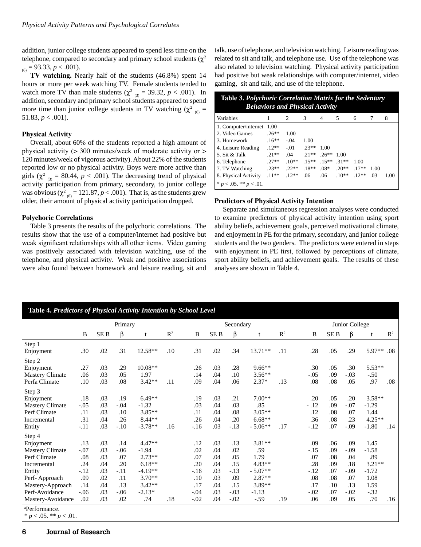addition, junior college students appeared to spend less time on the telephone, compared to secondary and primary school students ( $\chi^2$  $_{(6)}$  = 93.33, *p* < .001).

**TV watching.** Nearly half of the students (46.8%) spent 14 hours or more per week watching TV. Female students tended to watch more TV than male students ( $\chi^2_{(3)} = 39.32$ ,  $p < .001$ ). In addition, secondary and primary school students appeared to spend more time than junior college students in TV watching  $(\chi^2)_{(6)} =$ 51.83,  $p < .001$ ).

## **Physical Activity**

Overall, about 60% of the students reported a high amount of physical activity ( $>$  300 minutes/week of moderate activity or  $>$ 120 minutes/week of vigorous activity). About 22% of the students reported low or no physical activity. Boys were more active than girls ( $\chi^2$ <sub>(3)</sub> = 80.44,  $p < .001$ ). The decreasing trend of physical activity participation from primary, secondary, to junior college was obvious ( $\chi^2_{(6)}$  = 121.87, *p* < .001). That is, as the students grew older, their amount of physical activity participation dropped.

# **Polychoric Correlations**

Table 3 presents the results of the polychoric correlations. The results show that the use of a computer/internet had positive but weak significant relationships with all other items. Video gaming was positively associated with television watching, use of the telephone, and physical activity. Weak and positive associations were also found between homework and leisure reading, sit and

talk, use of telephone, and television watching. Leisure reading was related to sit and talk, and telephone use. Use of the telephone was also related to television watching. Physical activity participation had positive but weak relationships with computer/internet, video gaming, sit and talk, and use of the telephone.

| Table 3. Polychoric Correlation Matrix for the Sedentary |
|----------------------------------------------------------|
| <b>Behaviors and Physical Activity</b>                   |

| Variables                    |          | 2       | 3        | 4        | 5       | 6       |      | 8    |
|------------------------------|----------|---------|----------|----------|---------|---------|------|------|
| 1. Computer/internet 1.00    |          |         |          |          |         |         |      |      |
| 2. Video Games               | $.26**$  | 1.00    |          |          |         |         |      |      |
| 3. Homework                  | $.16***$ | $-.04$  | 1.00     |          |         |         |      |      |
| 4. Leisure Reading           | $12**$   | $-.01$  | $.23**$  | 1.00     |         |         |      |      |
| 5. Sit & Talk                | $21**$   | .04     | $21**$   | $.26***$ | 1.00    |         |      |      |
| 6. Telephone                 | $27**$   | $.10**$ | $.15***$ | $15**$   | $.31**$ | 1.00    |      |      |
| 7. TV Watching               | $23**$   | $22**$  | $.18**$  | $.08*$   | $.20**$ | $.17**$ | 1.00 |      |
| 8. Physical Activity         | $.11***$ | $.12**$ | .06      | .06      | $.10**$ | $.12**$ | .03  | 1.00 |
| * $p < .05$ . ** $p < .01$ . |          |         |          |          |         |         |      |      |

# **Predictors of Physical Activity Intention**

Separate and simultaneous regression analyses were conducted to examine predictors of physical activity intention using sport ability beliefs, achievement goals, perceived motivational climate, and enjoyment in PE for the primary, secondary, and junior college students and the two genders. The predictors were entered in steps with enjoyment in PE first, followed by perceptions of climate, sport ability beliefs, and achievement goals. The results of these analyses are shown in Table 4.

| Table 4. Predictors of Physical Activity Intention by School Level                                                                                                 |                                                                      |                                                             |                                                                       |                                                                                                     |                |                                                                      |                                                             |                                                                      |                                                                                             |                |                                                                      |                                                             |                                                                      |                                                                                |                |
|--------------------------------------------------------------------------------------------------------------------------------------------------------------------|----------------------------------------------------------------------|-------------------------------------------------------------|-----------------------------------------------------------------------|-----------------------------------------------------------------------------------------------------|----------------|----------------------------------------------------------------------|-------------------------------------------------------------|----------------------------------------------------------------------|---------------------------------------------------------------------------------------------|----------------|----------------------------------------------------------------------|-------------------------------------------------------------|----------------------------------------------------------------------|--------------------------------------------------------------------------------|----------------|
|                                                                                                                                                                    | Primary                                                              |                                                             |                                                                       |                                                                                                     |                | Secondary                                                            |                                                             |                                                                      |                                                                                             | Junior College |                                                                      |                                                             |                                                                      |                                                                                |                |
|                                                                                                                                                                    | B                                                                    | SE <sub>B</sub>                                             | β                                                                     | t                                                                                                   | $\mathbb{R}^2$ | $\, {\bf B}$                                                         | $\rm SE~B$                                                  | β                                                                    | $\mathbf{t}$                                                                                | $\mathbb{R}^2$ | $\, {\bf B}$                                                         | $\rm SE~B$                                                  | $\beta$                                                              | t                                                                              | $\mathbb{R}^2$ |
| Step 1<br>Enjoyment                                                                                                                                                | .30                                                                  | .02                                                         | .31                                                                   | 12.58**                                                                                             | .10            | .31                                                                  | .02                                                         | .34                                                                  | 13.71**                                                                                     | .11            | .28                                                                  | .05                                                         | .29                                                                  | 5.97**                                                                         | .08            |
| Step 2<br>Enjoyment<br><b>Mastery Climate</b><br>Perfa Climate                                                                                                     | .27<br>.06<br>.10                                                    | .03<br>.03<br>.03                                           | .29<br>.05<br>.08                                                     | $10.08**$<br>1.97<br>$3.42**$                                                                       | .11            | .26<br>.14<br>.09                                                    | .03<br>.04<br>.04                                           | .28<br>.10<br>.06                                                    | $9.66**$<br>$3.56**$<br>$2.37*$                                                             | .13            | .30<br>$-.05$<br>.08                                                 | .05<br>.09<br>.08                                           | .30<br>$-.03$<br>.05                                                 | 5.53**<br>$-.50$<br>.97                                                        | .08            |
| Step 3<br>Enjoyment<br><b>Mastery Climate</b><br>Perf Climate<br>Incremental<br>Entity                                                                             | .18<br>$-.05$<br>.11<br>.31<br>$-.11$                                | .03<br>.03<br>.03<br>.04<br>.03                             | .19<br>$-.04$<br>.10<br>.26<br>$-.10$                                 | $6.49**$<br>$-1.32$<br>$3.85**$<br>8.44**<br>$-3.78**$                                              | .16            | .19<br>.03<br>.11<br>.26<br>$-16$                                    | .03<br>.04<br>.04<br>.04<br>.03                             | .21<br>.03<br>.08<br>.20<br>$-.13$                                   | $7.00**$<br>.85<br>$3.05**$<br>$6.68**$<br>$-5.06**$                                        | .17            | .20<br>$-.12$<br>.12<br>.36<br>$-.12$                                | .05<br>.09<br>.08<br>.08<br>.07                             | .20<br>$-.07$<br>.07<br>.23<br>$-.09$                                | $3.58**$<br>$-1.29$<br>1.44<br>$4.25**$<br>$-1.80$                             | .14            |
| Step 4<br>Enjoyment<br><b>Mastery Climate</b><br>Perf Climate<br>Incremental<br>Entity<br>Perf-Approach<br>Mastery-Approach<br>Perf-Avoidance<br>Mastery-Avoidance | .13<br>$-.07$<br>.08<br>.24<br>$-.12$<br>.09<br>.14<br>$-.06$<br>.02 | .03<br>.03<br>.03<br>.04<br>.03<br>.02<br>.04<br>.03<br>.03 | .14<br>$-.06$<br>.07<br>.20<br>$-.11$<br>.11<br>.13<br>$-0.06$<br>.02 | $4.47**$<br>$-1.94$<br>$2.73**$<br>$6.18**$<br>$-4.19**$<br>$3.70**$<br>$3.42**$<br>$-2.13*$<br>.74 | .18            | .12<br>.02<br>.07<br>.20<br>$-.16$<br>.10<br>.17<br>$-.04$<br>$-.02$ | .03<br>.04<br>.04<br>.04<br>.03<br>.03<br>.04<br>.03<br>.04 | .13<br>.02<br>.05<br>.15<br>$-.13$<br>.09<br>.15<br>$-.03$<br>$-.02$ | $3.81**$<br>.59<br>1.79<br>$4.83**$<br>$-5.07**$<br>$2.87**$<br>3.89**<br>$-1.13$<br>$-.59$ | .19            | .09<br>$-.15$<br>.07<br>.28<br>$-.12$<br>.08<br>.17<br>$-.02$<br>.06 | .06<br>.09<br>.08<br>.09<br>.07<br>.08<br>.10<br>.07<br>.09 | .09<br>$-.09$<br>.04<br>.18<br>$-.09$<br>.07<br>.13<br>$-.02$<br>.05 | 1.45<br>$-1.58$<br>.89<br>$3.21**$<br>$-1.72$<br>1.08<br>1.59<br>$-.32$<br>.70 | .16            |
| <sup>a</sup> Performance.<br>* $p < .05$ . ** $p < .01$ .                                                                                                          |                                                                      |                                                             |                                                                       |                                                                                                     |                |                                                                      |                                                             |                                                                      |                                                                                             |                |                                                                      |                                                             |                                                                      |                                                                                |                |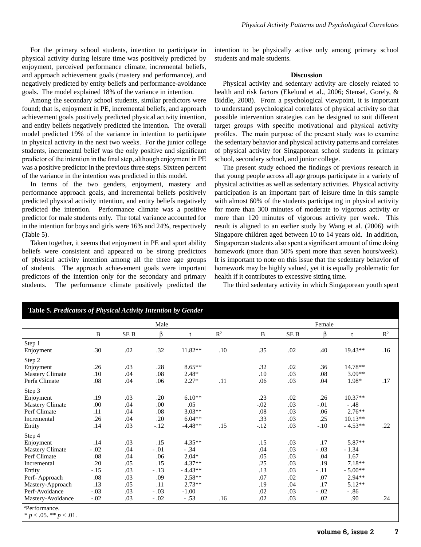For the primary school students, intention to participate in physical activity during leisure time was positively predicted by enjoyment, perceived performance climate, incremental beliefs, and approach achievement goals (mastery and performance), and negatively predicted by entity beliefs and performance-avoidance goals. The model explained 18% of the variance in intention.

Among the secondary school students, similar predictors were found; that is, enjoyment in PE, incremental beliefs, and approach achievement goals positively predicted physical activity intention, and entity beliefs negatively predicted the intention. The overall model predicted 19% of the variance in intention to participate in physical activity in the next two weeks. For the junior college students, incremental belief was the only positive and significant predictor of the intention in the final step, although enjoyment in PE was a positive predictor in the previous three steps. Sixteen percent of the variance in the intention was predicted in this model.

In terms of the two genders, enjoyment, mastery and performance approach goals, and incremental beliefs positively predicted physical activity intention, and entity beliefs negatively predicted the intention. Performance climate was a positive predictor for male students only. The total variance accounted for in the intention for boys and girls were 16% and 24%, respectively (Table 5).

Taken together, it seems that enjoyment in PE and sport ability beliefs were consistent and appeared to be strong predictors of physical activity intention among all the three age groups of students. The approach achievement goals were important predictors of the intention only for the secondary and primary students. The performance climate positively predicted the intention to be physically active only among primary school students and male students.

#### **Discussion**

Physical activity and sedentary activity are closely related to health and risk factors (Ekelund et al., 2006; Stensel, Gorely, & Biddle, 2008). From a psychological viewpoint, it is important to understand psychological correlates of physical activity so that possible intervention strategies can be designed to suit different target groups with specific motivational and physical activity profiles. The main purpose of the present study was to examine the sedentary behavior and physical activity patterns and correlates of physical activity for Singaporean school students in primary school, secondary school, and junior college.

The present study echoed the findings of previous research in that young people across all age groups participate in a variety of physical activities as well as sedentary activities. Physical activity participation is an important part of leisure time in this sample with almost 60% of the students participating in physical activity for more than 300 minutes of moderate to vigorous activity or more than 120 minutes of vigorous activity per week. This result is aligned to an earlier study by Wang et al. (2006) with Singapore children aged between 10 to 14 years old. In addition, Singaporean students also spent a significant amount of time doing homework (more than 50% spent more than seven hours/week). It is important to note on this issue that the sedentary behavior of homework may be highly valued, yet it is equally problematic for health if it contributes to excessive sitting time.

The third sedentary activity in which Singaporean youth spent

|                        |              |                 | Male    |           |                |         |                 | Female  |           |                |
|------------------------|--------------|-----------------|---------|-----------|----------------|---------|-----------------|---------|-----------|----------------|
|                        | $\, {\bf B}$ | SE <sub>B</sub> | β       | t         | $\mathbb{R}^2$ | B       | SE <sub>B</sub> | β       | t         | $\mathbb{R}^2$ |
| Step 1                 |              |                 |         |           |                |         |                 |         |           |                |
| Enjoyment              | .30          | .02             | .32     | 11.82**   | .10            | .35     | $.02\,$         | .40     | $19.43**$ | .16            |
| Step 2                 |              |                 |         |           |                |         |                 |         |           |                |
| Enjoyment              | .26          | .03             | .28     | $8.65**$  |                | .32     | .02             | .36     | 14.78**   |                |
| <b>Mastery Climate</b> | .10          | .04             | $.08\,$ | $2.48*$   |                | $.10\,$ | .03             | $.08\,$ | 3.09**    |                |
| Perfa Climate          | .08          | .04             | .06     | $2.27*$   | .11            | .06     | .03             | .04     | 1.98*     | .17            |
| Step 3                 |              |                 |         |           |                |         |                 |         |           |                |
| Enjoyment              | .19          | .03             | .20     | $6.10**$  |                | .23     | $.02\,$         | .26     | $10.37**$ |                |
| Mastery Climate        | .00          | .04             | .00     | .05       |                | $-.02$  | .03             | $-.01$  | $-.48$    |                |
| Perf Climate           | .11          | .04             | .08     | $3.03**$  |                | .08     | .03             | .06     | $2.76**$  |                |
| Incremental            | .26          | .04             | .20     | $6.04**$  |                | .33     | .03             | .25     | $10.13**$ |                |
| Entity                 | .14          | .03             | $-.12$  | $-4.48**$ | .15            | $-.12$  | .03             | $-.10$  | $-4.53**$ | .22            |
| Step 4                 |              |                 |         |           |                |         |                 |         |           |                |
| Enjoyment              | .14          | .03             | .15     | 4.35**    |                | .15     | .03             | .17     | 5.87**    |                |
| <b>Mastery Climate</b> | $-.02$       | .04             | $-.01$  | $-.34$    |                | .04     | .03             | $-.03$  | $-1.34$   |                |
| Perf Climate           | .08          | .04             | .06     | $2.04*$   |                | .05     | .03             | .04     | 1.67      |                |
| Incremental            | .20          | .05             | .15     | 4.37**    |                | .25     | .03             | .19     | $7.18**$  |                |
| Entity                 | $-.15$       | .03             | $-.13$  | $-4.43**$ |                | .13     | .03             | $-.11$  | $-5.00**$ |                |
| Perf-Approach          | .08          | .03             | .09     | $2.58**$  |                | .07     | .02             | .07     | 2.94**    |                |
| Mastery-Approach       | .13          | .05             | .11     | $2.73**$  |                | .19     | .04             | .17     | $5.12**$  |                |
| Perf-Avoidance         | $-.03$       | .03             | $-.03$  | $-1.00$   |                | .02     | .03             | $-.02$  | $-.86$    |                |
| Mastery-Avoidance      | $-.02$       | .03             | $-.02$  | $-.53$    | .16            | .02     | .03             | .02     | .90       | .24            |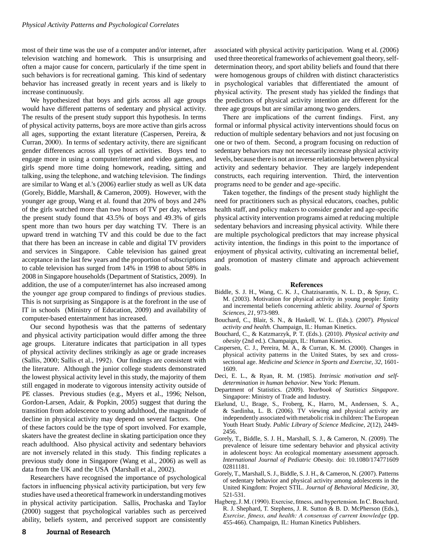most of their time was the use of a computer and/or internet, after television watching and homework. This is unsurprising and often a major cause for concern, particularly if the time spent in such behaviors is for recreational gaming. This kind of sedentary behavior has increased greatly in recent years and is likely to increase continuously.

We hypothesized that boys and girls across all age groups would have different patterns of sedentary and physical activity. The results of the present study support this hypothesis. In terms of physical activity patterns, boys are more active than girls across all ages, supporting the extant literature (Caspersen, Pereira, & Curran, 2000). In terms of sedentary activity, there are significant gender differences across all types of activities. Boys tend to engage more in using a computer/internet and video games, and girls spend more time doing homework, reading, sitting and talking, using the telephone, and watching television. The findings are similar to Wang et al.'s (2006) earlier study as well as UK data (Gorely, Biddle, Marshall, & Cameron, 2009). However, with the younger age group, Wang et al. found that 20% of boys and 24% of the girls watched more than two hours of TV per day, whereas the present study found that 43.5% of boys and 49.3% of girls spent more than two hours per day watching TV. There is an upward trend in watching TV and this could be due to the fact that there has been an increase in cable and digital TV providers and services in Singapore. Cable television has gained great acceptance in the last few years and the proportion of subscriptions to cable television has surged from 14% in 1998 to about 58% in 2008 in Singapore households (Department of Statistics, 2009). In addition, the use of a computer/internet has also increased among the younger age group compared to findings of previous studies. This is not surprising as Singapore is at the forefront in the use of IT in schools (Ministry of Education, 2009) and availability of computer-based entertainment has increased.

Our second hypothesis was that the patterns of sedentary and physical activity participation would differ among the three age groups. Literature indicates that participation in all types of physical activity declines strikingly as age or grade increases (Sallis, 2000; Sallis et al., 1992). Our findings are consistent with the literature. Although the junior college students demonstrated the lowest physical activity level in this study, the majority of them still engaged in moderate to vigorous intensity activity outside of PE classes. Previous studies (e.g., Myers et al., 1996; Nelson, Gordon-Larsen, Adair, & Popkin, 2005) suggest that during the transition from adolescence to young adulthood, the magnitude of decline in physical activity may depend on several factors. One of these factors could be the type of sport involved. For example, skaters have the greatest decline in skating participation once they reach adulthood. Also physical activity and sedentary behaviors are not inversely related in this study. This finding replicates a previous study done in Singapore (Wang et al., 2006) as well as data from the UK and the USA (Marshall et al., 2002).

Researchers have recognised the importance of psychological factors in influencing physical activity participation, but very few studies have used a theoretical framework in understanding motives in physical activity participation. Sallis, Prochaska and Taylor (2000) suggest that psychological variables such as perceived ability, beliefs system, and perceived support are consistently

associated with physical activity participation. Wang et al. (2006) used three theoretical frameworks of achievement goal theory, selfdetermination theory, and sport ability beliefs and found that there were homogenous groups of children with distinct characteristics in psychological variables that differentiated the amount of physical activity. The present study has yielded the findings that the predictors of physical activity intention are different for the three age groups but are similar among two genders.

There are implications of the current findings. First, any formal or informal physical activity interventions should focus on reduction of multiple sedentary behaviors and not just focusing on one or two of them. Second, a program focusing on reduction of sedentary behaviors may not necessarily increase physical activity levels, because there is not an inverse relationship between physical activity and sedentary behavior. They are largely independent constructs, each requiring intervention. Third, the intervention programs need to be gender and age-specific.

Taken together, the findings of the present study highlight the need for practitioners such as physical educators, coaches, public health staff, and policy makers to consider gender and age-specific physical activity intervention programs aimed at reducing multiple sedentary behaviors and increasing physical activity. While there are multiple psychological predictors that may increase physical activity intention, the findings in this point to the importance of enjoyment of physical activity, cultivating an incremental belief, and promotion of mastery climate and approach achievement goals.

#### **References**

- Biddle, S. J. H., Wang, C. K. J., Chatzisarantis, N. L. D., & Spray, C. M. (2003). Motivation for physical activity in young people: Entity and incremental beliefs concerning athletic ability. *Journal of Sports Sciences, 21*, 973-989.
- Bouchard, C., Blair, S. N., & Haskell, W. L. (Eds.). (2007). *Physical activity and health.* Champaign, IL: Human Kinetics.
- Bouchard, C., & Katzmarzyk, P. T. (Eds.). (2010). *Physical activity and obesity* (2nd ed.). Champaign, IL: Human Kinetics.
- Caspersen, C. J., Pereira, M. A., & Curran, K. M. (2000). Changes in physical activity patterns in the United States, by sex and crosssectional age. *Medicine and Science in Sports and Exercise, 32*, 1601- 1609.
- Deci, E. L., & Ryan, R. M. (1985). *Intrinsic motivation and selfdetermination in human behavior*. New York: Plenum.
- Department of Statistics. (2009). *Yearbook of Statistics Singapore*. Singapore: Ministry of Trade and Industry.
- Ekelund, U., Brage, S., Froberg, K., Harro, M., Anderssen, S. A., & Sardinha, L. B. (2006). TV viewing and physical activity are independently associated with metabolic risk in children: The European Youth Heart Study. *Public Library of Science Medicine, 2*(12), 2449- 2456.
- Gorely, T., Biddle, S. J. H., Marshall, S. J., & Cameron, N. (2009). The prevalence of leisure time sedentary behavior and physical activity in adolescent boys: An ecological momentary assessment approach. *International Journal of Pediatric Obesity.* doi: 10.1080/174771609 02811181.
- Gorely, T., Marshall, S. J., Biddle, S. J. H., & Cameron, N. (2007). Patterns of sedentary behavior and physical activity among adolescents in the United Kingdom: Project STIL. *Journal of Behavioral Medicine, 30*, 521-531.
- Hagberg, J. M. (1990). Exercise, fitness, and hypertension. In C. Bouchard, R. J. Shephard, T. Stephens, J. R. Sutton & B. D. McPherson (Eds.), *Exercise, fitness, and health: A consensus of current knowledge* (pp. 455-466). Champaign, IL: Human Kinetics Publishers.